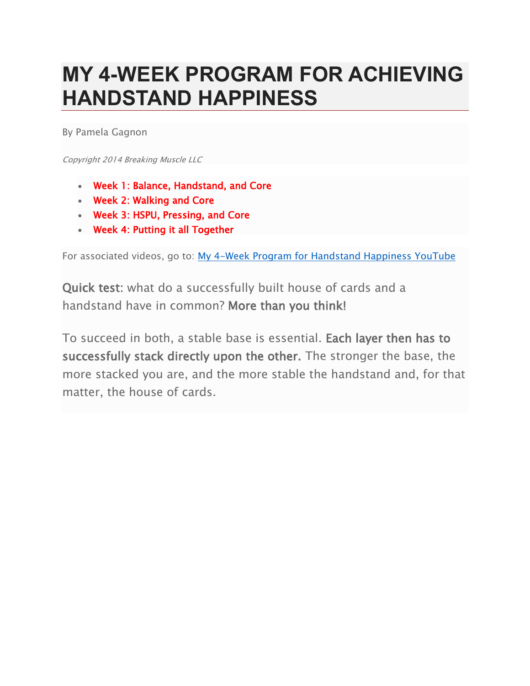# **MY 4-WEEK PROGRAM FOR ACHIEVING HANDSTAND HAPPINESS**

By Pamela Gagnon

Copyright 2014 Breaking Muscle LLC

- [Week 1: Balance, Handstand, and Core](http://breakingmuscle.com/strength-conditioning/strength-conditioning-pamela-gagnon-week-1)
- [Week 2: Walking and Core](http://breakingmuscle.com/strength-conditioning/strength-conditioning-pamela-gagnon-week-2)
- [Week 3: HSPU, Pressing, and Core](http://breakingmuscle.com/strength-conditioning/strength-conditioning-pamela-gagnon-week-3)
- [Week 4: Putting it all Together](http://breakingmuscle.com/strength-conditioning/strength-conditioning-pamela-gagnon-week-4)

For associated videos, go to: [My 4-Week Program for Handstand Happiness](https://www.youtube.com/playlist?list=PL1NFvbquYX9STW6ngQj0fi2b0iNcUQBMD) YouTube

Quick test: what do a successfully built house of cards and a handstand have in common? More than you think!

To succeed in both, a stable base is essential. Each layer then has to successfully stack directly upon the other. The stronger the base, the more stacked you are, and the more stable the handstand and, for that matter, the house of cards.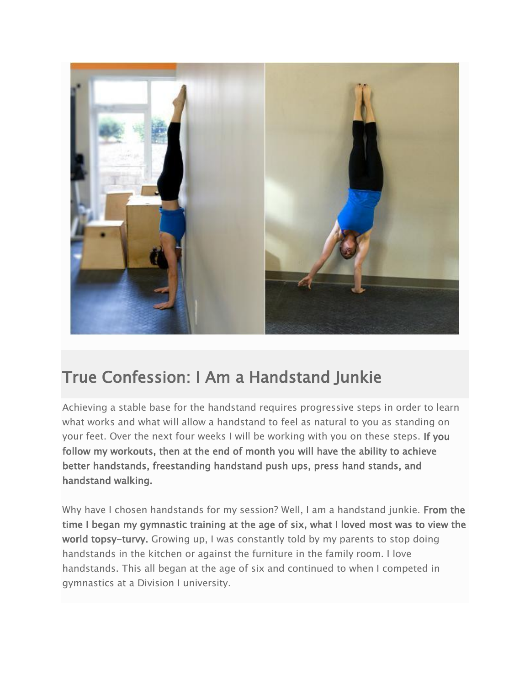

# True Confession: I Am a Handstand Junkie

Achieving a stable base for the handstand requires progressive steps in order to learn what works and what will allow a handstand to feel as natural to you as standing on your feet. Over the next four weeks I will be working with you on these steps. If you follow my workouts, then at the end of month you will have the ability to achieve better handstands, freestanding handstand push ups, press hand stands, and handstand walking.

Why have I chosen handstands for my session? Well, I am a handstand junkie. From the time I began my gymnastic training at the age of six, what I loved most was to view the world topsy-turvy. Growing up, I was constantly told by my parents to stop doing handstands in the kitchen or against the furniture in the family room. I love handstands. This all began at the age of six and continued to when I competed in gymnastics at a Division I university.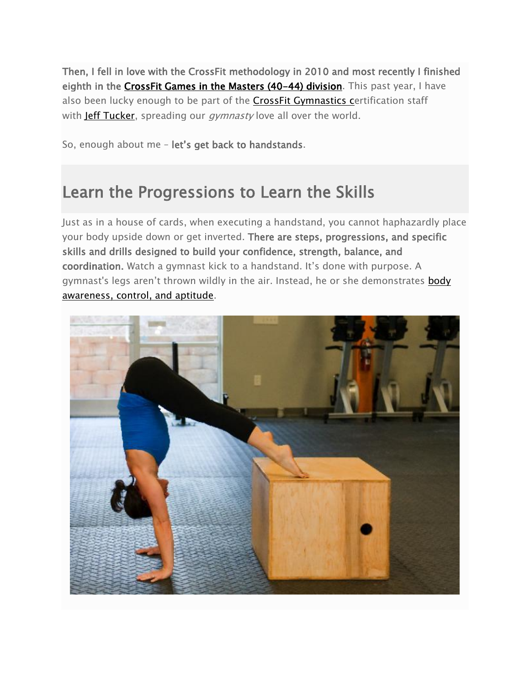Then, I fell in love with the CrossFit methodology in 2010 and most recently I finished eighth in the [CrossFit Games in the Masters \(40-44\) division.](http://games.crossfit.com/athlete/3278) This past year, I have also been lucky enough to be part of the [CrossFit Gymnastics ce](http://crossfitgymnastics.com/)rtification staff with [Jeff Tucker,](http://breakingmuscle.com/interviews/featured-coach-jeff-tucker-part-1-cowboy-firefighter-gymnast) spreading our gymnasty love all over the world.

So, enough about me – let's get back to handstands.

### Learn the Progressions to Learn the Skills

Just as in a house of cards, when executing a handstand, you cannot haphazardly place your body upside down or get inverted. There are steps, progressions, and specific skills and drills designed to build your confidence, strength, balance, and coordination. Watch a gymnast kick to a handstand. It's done with purpose. A gymnast's legs aren't thrown wildly in the air. Instead, he or she demonstrates body [awareness, control, and aptitude.](http://breakingmuscle.com/strength-conditioning/magical-movement-the-importance-of-virtuosity)

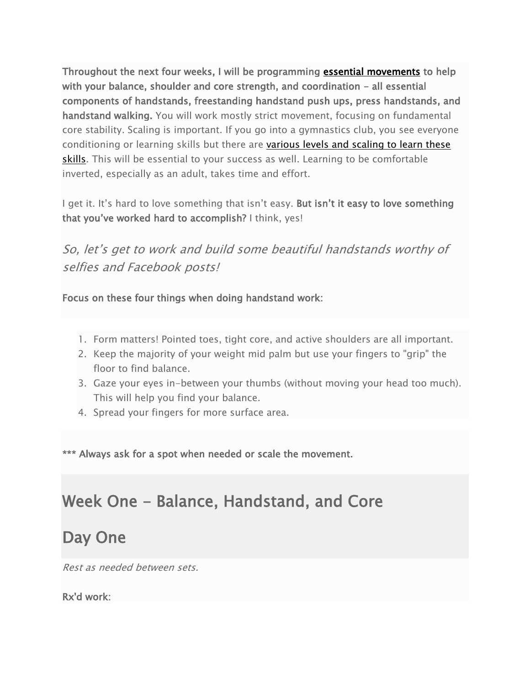Throughout the next four weeks, I will be programming **essential movements** to help with your balance, shoulder and core strength, and coordination - all essential components of handstands, freestanding handstand push ups, press handstands, and handstand walking. You will work mostly strict movement, focusing on fundamental core stability. Scaling is important. If you go into a gymnastics club, you see everyone conditioning or learning skills but there are [various levels and scaling to learn these](http://breakingmuscle.com/crossfit/a-call-to-action-for-crossfitters-the-prioritization-of-gymnastics-movements-and-standards)  [skills.](http://breakingmuscle.com/crossfit/a-call-to-action-for-crossfitters-the-prioritization-of-gymnastics-movements-and-standards) This will be essential to your success as well. Learning to be comfortable inverted, especially as an adult, takes time and effort.

I get it. It's hard to love something that isn't easy. But isn't it easy to love something that you've worked hard to accomplish? I think, yes!

So, let's get to work and build some beautiful handstands worthy of selfies and Facebook posts!

Focus on these four things when doing handstand work:

- 1. Form matters! Pointed toes, tight core, and active shoulders are all important.
- 2. Keep the majority of your weight mid palm but use your fingers to "grip" the floor to find balance.
- 3. Gaze your eyes in-between your thumbs (without moving your head too much). This will help you find your balance.
- 4. Spread your fingers for more surface area.

\*\*\* Always ask for a spot when needed or scale the movement.

# Week One - Balance, Handstand, and Core

### Day One

Rest as needed between sets.

Rx'd work: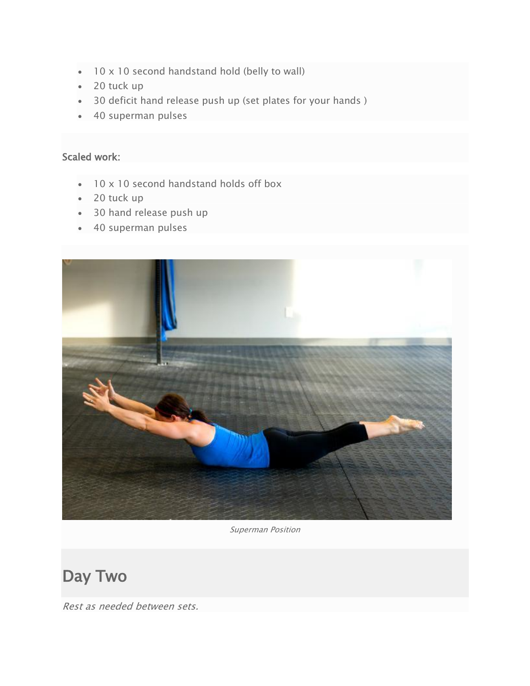- $\bullet$  10 x 10 second handstand hold (belly to wall)
- 20 tuck up
- 30 deficit hand release push up (set plates for your hands )
- 40 superman pulses

#### Scaled work:

- 10 x 10 second handstand holds off box
- 20 tuck up
- 30 hand release push up
- 40 superman pulses



Superman Position

Day Two

Rest as needed between sets.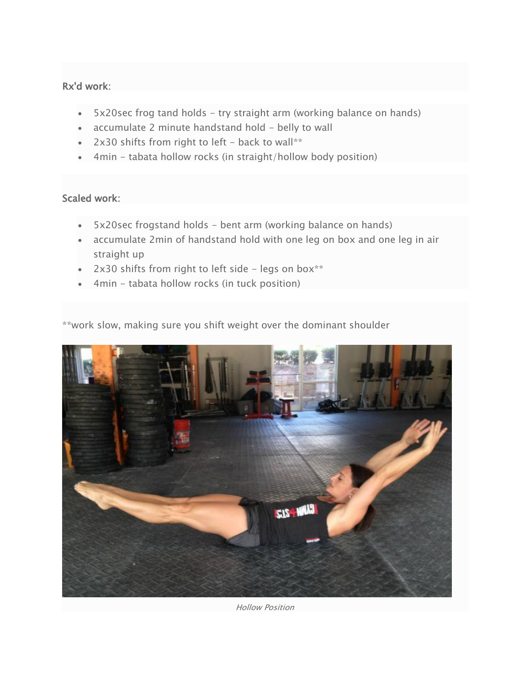#### Rx'd work:

- 5x20sec frog tand holds try straight arm (working balance on hands)
- accumulate 2 minute handstand hold belly to wall
- 2x30 shifts from right to left back to wall\*\*
- 4min tabata hollow rocks (in straight/hollow body position)

#### Scaled work:

- 5x20sec frogstand holds bent arm (working balance on hands)
- accumulate 2min of handstand hold with one leg on box and one leg in air straight up
- $\cdot$  2x30 shifts from right to left side legs on box\*\*
- 4min tabata hollow rocks (in tuck position)

\*\*work slow, making sure you shift weight over the dominant shoulder



Hollow Position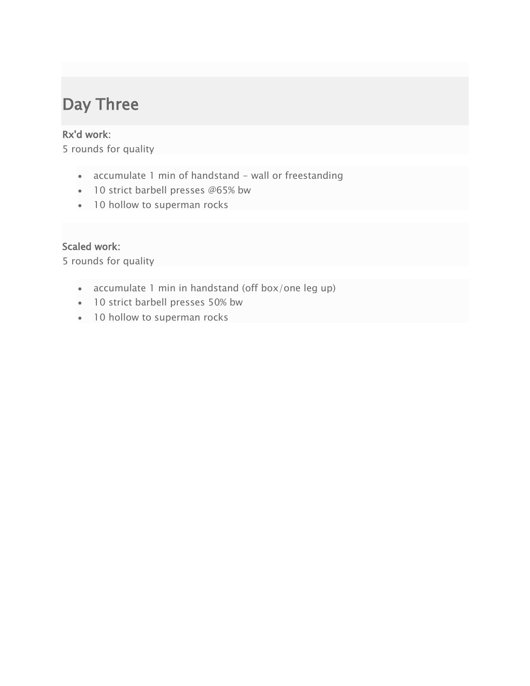# Day Three

#### Rx'd work:

5 rounds for quality

- accumulate 1 min of handstand wall or freestanding
- 10 strict barbell presses @65% bw
- 10 hollow to superman rocks

#### Scaled work:

5 rounds for quality

- accumulate 1 min in handstand (off box/one leg up)
- 10 strict barbell presses 50% bw
- 10 hollow to superman rocks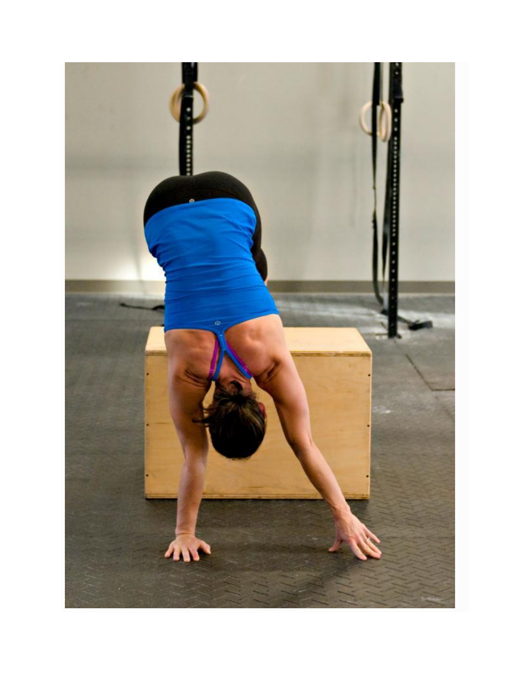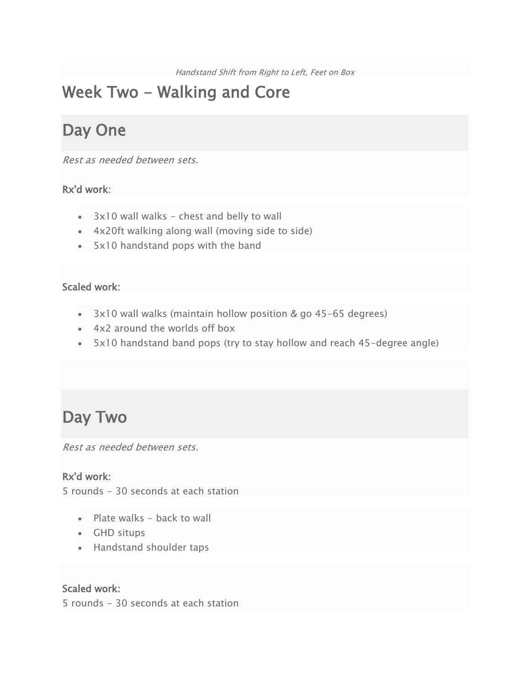Handstand Shift from Right to Left, Feet on Box

# Week Two - Walking and Core

# Day One

Rest as needed between sets.

#### Rx'd work:

- $\bullet$  3x10 wall walks chest and belly to wall
- 4x20ft walking along wall (moving side to side)
- 5x10 handstand pops with the band

#### Scaled work:

- 3x10 wall walks (maintain hollow position & go 45-65 degrees)
- 4x2 around the worlds off box
- 5x10 handstand band pops (try to stay hollow and reach 45-degree angle)

### Day Two

Rest as needed between sets.

#### Rx'd work:

5 rounds - 30 seconds at each station

- Plate walks back to wall
- GHD situps
- Handstand shoulder taps

Scaled work: 5 rounds - 30 seconds at each station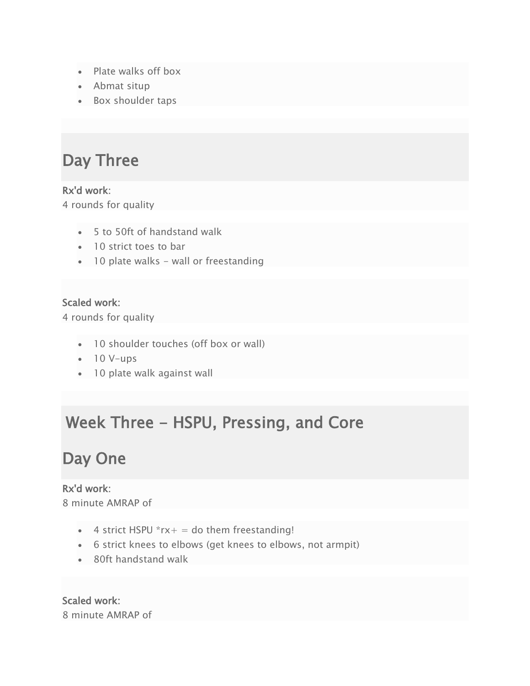- Plate walks off box
- Abmat situp
- Box shoulder taps

# Day Three

#### Rx'd work:

4 rounds for quality

- 5 to 50ft of handstand walk
- 10 strict toes to bar
- $\bullet$  10 plate walks wall or freestanding

#### Scaled work:

4 rounds for quality

- 10 shoulder touches (off box or wall)
- $\bullet$  10 V-ups
- 10 plate walk against wall

# Week Three - HSPU, Pressing, and Core

### Day One

#### Rx'd work:

8 minute AMRAP of

- $\bullet$  4 strict HSPU \*rx+ = do them freestanding!
- 6 strict knees to elbows (get knees to elbows, not armpit)
- 80ft handstand walk

Scaled work: 8 minute AMRAP of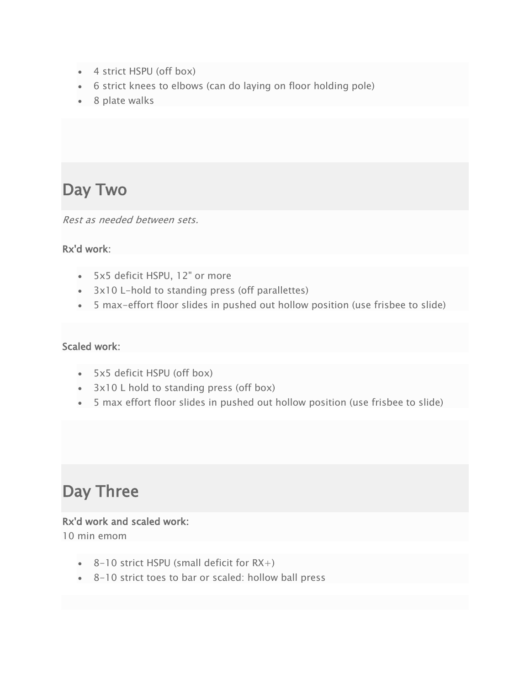- 4 strict HSPU (off box)
- 6 strict knees to elbows (can do laying on floor holding pole)
- 8 plate walks

### Day Two

Rest as needed between sets.

#### Rx'd work:

- 5x5 deficit HSPU, 12" or more
- 3x10 L-hold to standing press (off parallettes)
- 5 max-effort floor slides in pushed out hollow position (use frisbee to slide)

#### Scaled work:

- 5x5 deficit HSPU (off box)
- 3x10 L hold to standing press (off box)
- 5 max effort floor slides in pushed out hollow position (use frisbee to slide)

# Day Three

#### Rx'd work and scaled work:

10 min emom

- $\bullet$  8-10 strict HSPU (small deficit for RX+)
- 8-10 strict toes to bar or scaled: hollow ball press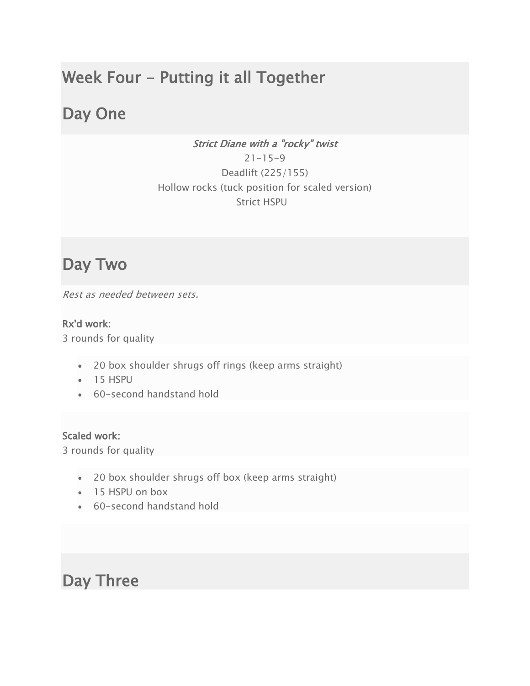# Week Four - Putting it all Together

# Day One

Strict Diane with a "rocky" twist  $21 - 15 - 9$ Deadlift (225/155) Hollow rocks (tuck position for scaled version) Strict HSPU

# Day Two

Rest as needed between sets.

#### Rx'd work:

3 rounds for quality

- 20 box shoulder shrugs off rings (keep arms straight)
- 15 HSPU
- 60-second handstand hold

#### Scaled work:

3 rounds for quality

- 20 box shoulder shrugs off box (keep arms straight)
- 15 HSPU on box
- 60-second handstand hold

# Day Three